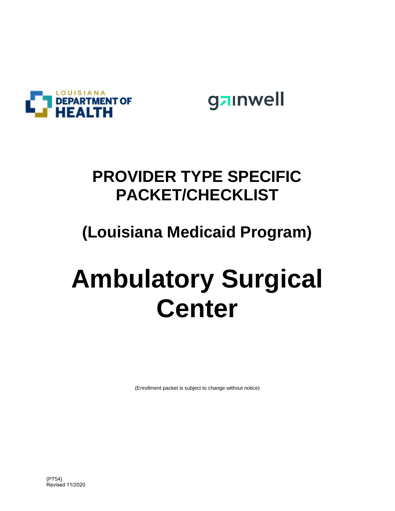

gainwell

## **PROVIDER TYPE SPECIFIC PACKET/CHECKLIST**

## **(Louisiana Medicaid Program)**

# **Ambulatory Surgical Center**

(Enrollment packet is subject to change without notice)